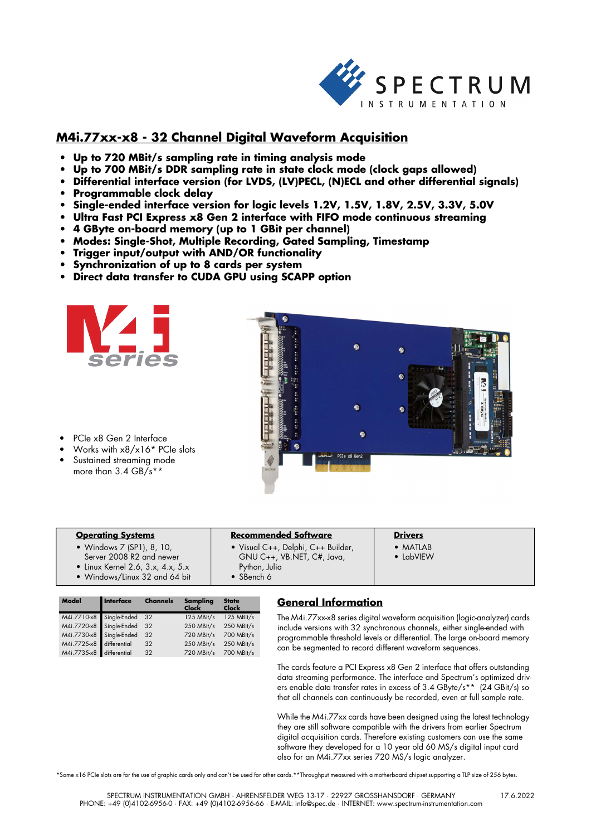

# **M4i.77xx-x8 - 32 Channel Digital Waveform Acquisition**

- **Up to 720 MBit/s sampling rate in timing analysis mode**
- **Up to 700 MBit/s DDR sampling rate in state clock mode (clock gaps allowed)**
- **Differential interface version (for LVDS, (LV)PECL, (N)ECL and other differential signals)**
- **Programmable clock delay**
- **Single-ended interface version for logic levels 1.2V, 1.5V, 1.8V, 2.5V, 3.3V, 5.0V**
- **Ultra Fast PCI Express x8 Gen 2 interface with FIFO mode continuous streaming**
- **4 GByte on-board memory (up to 1 GBit per channel)**
- **Modes: Single-Shot, Multiple Recording, Gated Sampling, Timestamp**
- **Trigger input/output with AND/OR functionality**
- **Synchronization of up to 8 cards per system**
- **Direct data transfer to CUDA GPU using SCAPP option**





- PCIe x8 Gen 2 Interface
- Works with x8/x16\* PCIe slots Sustained streaming mode more than 3.4 GB/s\*\*

| <b>Operating Systems</b>                  | <b>Recommended Software</b>        | <b>Drivers</b>    |
|-------------------------------------------|------------------------------------|-------------------|
| • Windows 7 (SP1), 8, 10,                 | • Visual C++, Delphi, C++ Builder, | $\bullet$ MATLAB  |
| Server 2008 R2 and newer                  | GNU C++, VB.NET, C#, Java,         | $\bullet$ InbVIFW |
| $\bullet$ Linux Kernel 2.6, 3.x, 4.x, 5.x | Python, Julia                      |                   |
| • Windows/Linux 32 and 64 bit             | • SBench 6                         |                   |

| Model                    | Interface | <b>Channels</b> | Sampling<br>Clock | <b>State</b><br><b>Clock</b> |
|--------------------------|-----------|-----------------|-------------------|------------------------------|
| M4i.7710-x8 Single-Ended |           | 32              | 125 MBit/s        | 125 MBit/s                   |
| M4i.7720-x8 Single-Ended |           | 32              | 250 MBit/s        | 250 MBit/s                   |
| M4i.7730-x8 Single-Ended |           | 32              | 720 MBit/s        | 700 MBit/s                   |
| M4i.7725-x8 differential |           | 32              | 250 MBit/s        | 250 MBit/s                   |
| M4i.7735-x8 differential |           | 32              | 720 MBit/s        | 700 MBit/s                   |

# **General Information**

The M4i.77xx-x8 series digital waveform acquisition (logic-analyzer) cards include versions with 32 synchronous channels, either single-ended with programmable threshold levels or differential. The large on-board memory can be segmented to record different waveform sequences.

The cards feature a PCI Express x8 Gen 2 interface that offers outstanding data streaming performance. The interface and Spectrum's optimized drivers enable data transfer rates in excess of 3.4 GByte/s\*\* (24 GBit/s) so that all channels can continuously be recorded, even at full sample rate.

While the M4i.77xx cards have been designed using the latest technology they are still software compatible with the drivers from earlier Spectrum digital acquisition cards. Therefore existing customers can use the same software they developed for a 10 year old 60 MS/s digital input card also for an M4i.77xx series 720 MS/s logic analyzer.

\*Some x16 PCIe slots are for the use of graphic cards only and can't be used for other cards.\*\*Throughput measured with a motherboard chipset supporting a TLP size of 256 bytes.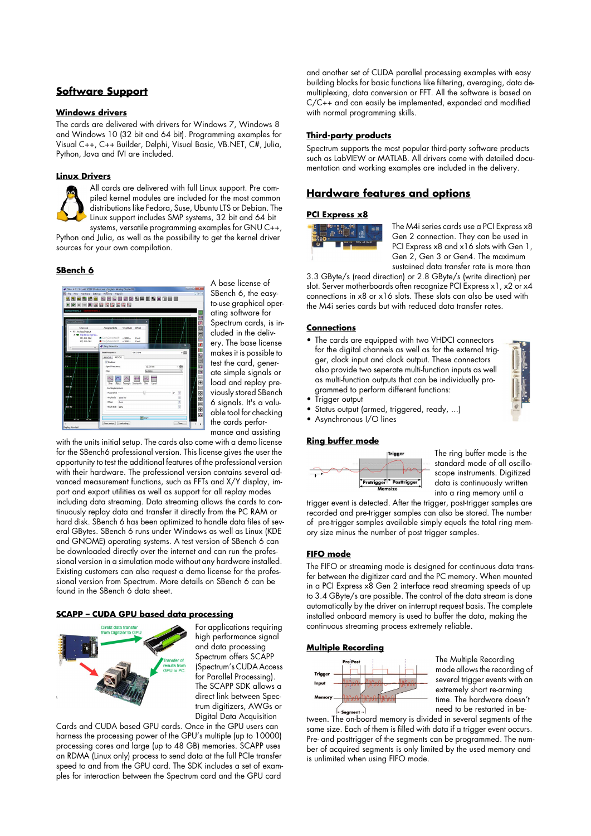# **Software Support**

## **Windows drivers**

The cards are delivered with drivers for Windows 7, Windows 8 and Windows 10 (32 bit and 64 bit). Programming examples for Visual C++, C++ Builder, Delphi, Visual Basic, VB.NET, C#, Julia, Python, Java and IVI are included.

### **Linux Drivers**

All cards are delivered with full Linux support. Pre compiled kernel modules are included for the most common distributions like Fedora, Suse, Ubuntu LTS or Debian. The Linux support includes SMP systems, 32 bit and 64 bit systems, versatile programming examples for GNU C++,

Python and Julia, as well as the possibility to get the kernel driver sources for your own compilation.

## **SBench 6**



A base license of SBench 6, the easyto-use graphical operating software for Spectrum cards, is included in the delivery. The base license makes it is possible to test the card, generate simple signals or load and replay previously stored SBench 6 signals. It's a valuable tool for checking the cards performance and assisting

with the units initial setup. The cards also come with a demo license for the SBench6 professional version. This license gives the user the opportunity to test the additional features of the professional version with their hardware. The professional version contains several advanced measurement functions, such as FFTs and X/Y display, import and export utilities as well as support for all replay modes including data streaming. Data streaming allows the cards to continuously replay data and transfer it directly from the PC RAM or hard disk. SBench 6 has been optimized to handle data files of several GBytes. SBench 6 runs under Windows as well as Linux (KDE and GNOME) operating systems. A test version of SBench 6 can be downloaded directly over the internet and can run the professional version in a simulation mode without any hardware installed. Existing customers can also request a demo license for the professional version from Spectrum. More details on SBench 6 can be found in the SBench 6 data sheet.

## **SCAPP – CUDA GPU based data processing**



For applications requiring high performance signal and data processing Spectrum offers SCAPP (Spectrum's CUDA Access for Parallel Processing). The SCAPP SDK allows a direct link between Spectrum digitizers, AWGs or Digital Data Acquisition

Cards and CUDA based GPU cards. Once in the GPU users can harness the processing power of the GPU's multiple (up to 10000) processing cores and large (up to 48 GB) memories. SCAPP uses an RDMA (Linux only) process to send data at the full PCIe transfer speed to and from the GPU card. The SDK includes a set of examples for interaction between the Spectrum card and the GPU card

and another set of CUDA parallel processing examples with easy building blocks for basic functions like filtering, averaging, data demultiplexing, data conversion or FFT. All the software is based on C/C++ and can easily be implemented, expanded and modified with normal programming skills.

### **Third-party products**

Spectrum supports the most popular third-party software products such as LabVIEW or MATLAB. All drivers come with detailed documentation and working examples are included in the delivery.

## **Hardware features and options**

#### **PCI Express x8**



The M4i series cards use a PCI Express x8 Gen 2 connection. They can be used in PCI Express x8 and x16 slots with Gen 1, Gen 2, Gen 3 or Gen4. The maximum sustained data transfer rate is more than

3.3 GByte/s (read direction) or 2.8 GByte/s (write direction) per slot. Server motherboards often recognize PCI Express x1, x2 or x4 connections in x8 or x16 slots. These slots can also be used with the M4i series cards but with reduced data transfer rates.

### **Connections**

- The cards are equipped with two VHDCI connectors for the digital channels as well as for the external trigger, clock input and clock output. These connectors also provide two seperate multi-function inputs as well as multi-function outputs that can be individually programmed to perform different functions:
- Trigger output
- Status output (armed, triggered, ready, ...)
- Asynchronous I/O lines

## **Ring buffer mode**



The ring buffer mode is the standard mode of all oscilloscope instruments. Digitized data is continuously written into a ring memory until a

trigger event is detected. After the trigger, post-trigger samples are recorded and pre-trigger samples can also be stored. The number of pre-trigger samples available simply equals the total ring memory size minus the number of post trigger samples.

### **FIFO mode**

The FIFO or streaming mode is designed for continuous data transfer between the digitizer card and the PC memory. When mounted in a PCI Express x8 Gen 2 interface read streaming speeds of up to 3.4 GByte/s are possible. The control of the data stream is done automatically by the driver on interrupt request basis. The complete installed onboard memory is used to buffer the data, making the continuous streaming process extremely reliable.

### **Multiple Recording**



The Multiple Recording mode allows the recording of several trigger events with an extremely short re-arming time. The hardware doesn't need to be restarted in be-

tween. The on-board memory is divided in several segments of the same size. Each of them is filled with data if a trigger event occurs. Pre- and posttrigger of the segments can be programmed. The number of acquired segments is only limited by the used memory and is unlimited when using FIFO mode.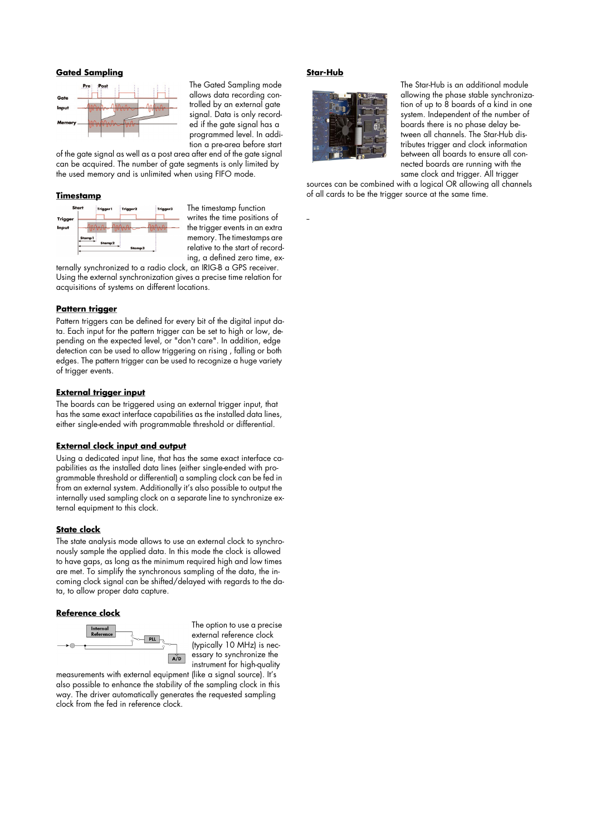## **Gated Sampling**



The Gated Sampling mode allows data recording controlled by an external gate signal. Data is only recorded if the gate signal has a programmed level. In addition a pre-area before start

of the gate signal as well as a post area after end of the gate signal can be acquired. The number of gate segments is only limited by the used memory and is unlimited when using FIFO mode.

### **Timestamp**



The timestamp function writes the time positions of the trigger events in an extra memory. The timestamps are relative to the start of recording, a defined zero time, ex-

ternally synchronized to a radio clock, an IRIG-B a GPS receiver. Using the external synchronization gives a precise time relation for acquisitions of systems on different locations.

## **Pattern trigger**

Pattern triggers can be defined for every bit of the digital input data. Each input for the pattern trigger can be set to high or low, depending on the expected level, or "don't care". In addition, edge detection can be used to allow triggering on rising , falling or both edges. The pattern trigger can be used to recognize a huge variety of trigger events.

#### **External trigger input**

The boards can be triggered using an external trigger input, that has the same exact interface capabilities as the installed data lines, either single-ended with programmable threshold or differential.

#### **External clock input and output**

Using a dedicated input line, that has the same exact interface capabilities as the installed data lines (either single-ended with programmable threshold or differential) a sampling clock can be fed in from an external system. Additionally it's also possible to output the internally used sampling clock on a separate line to synchronize external equipment to this clock.

### **State clock**

The state analysis mode allows to use an external clock to synchronously sample the applied data. In this mode the clock is allowed to have gaps, as long as the minimum required high and low times are met. To simplify the synchronous sampling of the data, the incoming clock signal can be shifted/delayed with regards to the data, to allow proper data capture.

## **Reference clock**



The option to use a precise external reference clock (typically 10 MHz) is necessary to synchronize the instrument for high-quality

measurements with external equipment (like a signal source). It's also possible to enhance the stability of the sampling clock in this way. The driver automatically generates the requested sampling clock from the fed in reference clock.

## **Star-Hub**



The Star-Hub is an additional module allowing the phase stable synchronization of up to 8 boards of a kind in one system. Independent of the number of boards there is no phase delay between all channels. The Star-Hub distributes trigger and clock information between all boards to ensure all connected boards are running with the same clock and trigger. All trigger

sources can be combined with a logical OR allowing all channels of all cards to be the trigger source at the same time.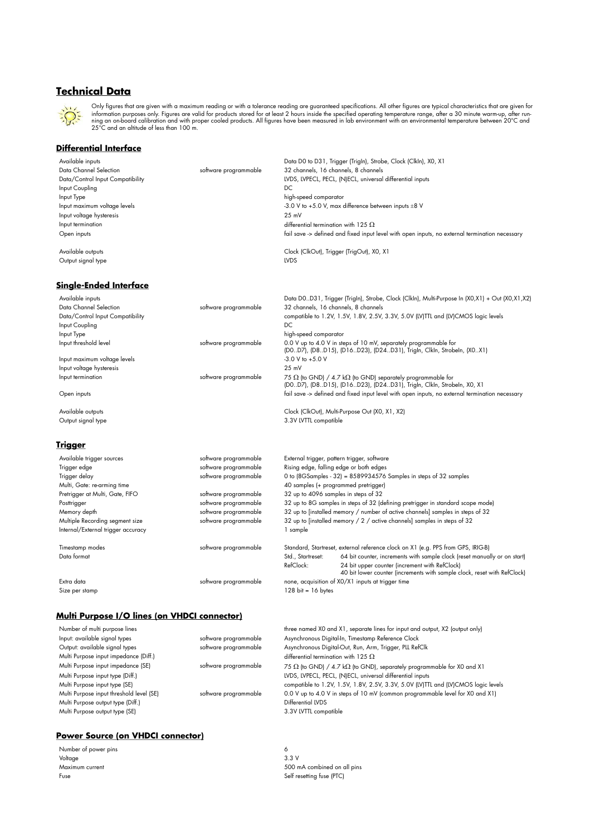# **Technical Data**



Only tigures that are given with a maximum reading or with a tolerance reading are guaranteed specifications. All other tigures are typical characteristics that are given for<br>information purposes only. Figures are valid fo

# **Differential Interface**

| Available inputs                 |                       | Data D0 to D31, Trigger (Trigin), Strobe, Clock (Clkln), X0, X1                                |
|----------------------------------|-----------------------|------------------------------------------------------------------------------------------------|
| Data Channel Selection           | software programmable | 32 channels, 16 channels, 8 channels                                                           |
| Data/Control Input Compatibility |                       | LVDS, LVPECL, PECL, (N)ECL, universal differential inputs                                      |
| Input Coupling                   |                       | DC                                                                                             |
| Input Type                       |                       | high-speed comparator                                                                          |
| Input maximum voltage levels     |                       | -3.0 V to +5.0 V, max difference between inputs $\pm 8$ V                                      |
| Input voltage hysteresis         |                       | 25 mV                                                                                          |
| Input termination                |                       | differential termination with 125 $\Omega$                                                     |
| Open inputs                      |                       | fail save -> defined and fixed input level with open inputs, no external termination necessary |
| Available outputs                |                       | Clock (ClkOut), Trigger (TrigOut), X0, X1                                                      |
| Output signal type               |                       | <b>LVDS</b>                                                                                    |

# **Single-Ended Interface**

| Available inputs<br>Data Channel Selection<br>Data/Control Input Compatibility<br>Input Coupling | software programmable | Data D0D31, Trigger (TrigIn), Strobe, Clock (ClkIn), Multi-Purpose In (X0,X1) + Out (X0,X1,X2)<br>32 channels, 16 channels, 8 channels<br>compatible to 1.2V, 1.5V, 1.8V, 2.5V, 3.3V, 5.0V (LV)TTL and (LV)CMOS logic levels<br>DC. |
|--------------------------------------------------------------------------------------------------|-----------------------|-------------------------------------------------------------------------------------------------------------------------------------------------------------------------------------------------------------------------------------|
| Input Type                                                                                       |                       | high-speed comparator                                                                                                                                                                                                               |
| Input threshold level                                                                            | software programmable | 0.0 V up to 4.0 V in steps of 10 mV, separately programmable for<br>(DO.,D7), (D8.,D15), (D16.,D23), (D24.,D31), Trigln, Clkln, Strobeln, (XO.,X1)                                                                                  |
| Input maximum voltage levels                                                                     |                       | $-3.0$ V to $+5.0$ V                                                                                                                                                                                                                |
| Input voltage hysteresis                                                                         |                       | 25 mV                                                                                                                                                                                                                               |
| Input termination                                                                                | software programmable | 75 $\Omega$ (to GND) / 4.7 k $\Omega$ (to GND) separately programmable for<br>(D0D7), (D8D15), (D16D23), (D24D31), Trigln, ClkIn, Strobeln, X0, X1                                                                                  |
| Open inputs                                                                                      |                       | fail save -> defined and fixed input level with open inputs, no external termination necessary                                                                                                                                      |
|                                                                                                  |                       |                                                                                                                                                                                                                                     |

Available outputs **Clock (ClkOut), Multi-Purpose Out (X0, X1, X2)** Output signal type 3.3V LVTTL compatible

## **Trigger**

| Available trigger sources<br>Trigger edge<br>Trigger delay | software programmable<br>software programmable<br>software programmable | External trigger, pattern trigger, software<br>Rising edge, falling edge or both edges<br>0 to (8GSamples - 32) = 8589934576 Samples in steps of 32 samples |                                                                                                                            |  |  |
|------------------------------------------------------------|-------------------------------------------------------------------------|-------------------------------------------------------------------------------------------------------------------------------------------------------------|----------------------------------------------------------------------------------------------------------------------------|--|--|
| Multi, Gate: re-arming time                                |                                                                         | 40 samples (+ programmed pretrigger)                                                                                                                        |                                                                                                                            |  |  |
| Pretrigger at Multi, Gate, FIFO                            | software programmable                                                   | 32 up to 4096 samples in steps of 32                                                                                                                        |                                                                                                                            |  |  |
| Posttrigger                                                | software programmable                                                   | 32 up to 8G samples in steps of 32 (defining pretrigger in standard scope mode)                                                                             |                                                                                                                            |  |  |
| Memory depth                                               | software programmable                                                   | 32 up to [installed memory / number of active channels] samples in steps of 32                                                                              |                                                                                                                            |  |  |
| Multiple Recording segment size                            | software programmable                                                   | 32 up to [installed memory / 2 / active channels] samples in steps of 32                                                                                    |                                                                                                                            |  |  |
| Internal/External trigger accuracy                         |                                                                         | sample                                                                                                                                                      |                                                                                                                            |  |  |
| Timestamp modes                                            | software programmable                                                   |                                                                                                                                                             | Standard, Startreset, external reference clock on X1 (e.g. PPS from GPS, IRIG-B)                                           |  |  |
| Data format                                                |                                                                         | Std., Startreset:                                                                                                                                           | 64 bit counter, increments with sample clock (reset manually or on start)                                                  |  |  |
|                                                            |                                                                         | RefClock:                                                                                                                                                   | 24 bit upper counter (increment with RefClock)<br>40 bit lower counter (increments with sample clock, reset with RefClock) |  |  |
| Extra data                                                 | software programmable                                                   | none, acquisition of XO/X1 inputs at trigger time                                                                                                           |                                                                                                                            |  |  |
| Size per stamp                                             |                                                                         | $128$ bit = 16 bytes                                                                                                                                        |                                                                                                                            |  |  |

# **Multi Purpose I/O lines (on VHDCI connector)**

| Number of multi purpose lines            |                       | three named X0 and X1, separate lines for input and output, X2 (output only)          |
|------------------------------------------|-----------------------|---------------------------------------------------------------------------------------|
| Input: available signal types            | software programmable | Asynchronous Digital-In, Timestamp Reference Clock                                    |
| Output: available signal types           | software programmable | Asynchronous Digital-Out, Run, Arm, Trigger, PLL RefClk                               |
| Multi Purpose input impedance (Diff.)    |                       | differential termination with 125 $\Omega$                                            |
| Multi Purpose input impedance (SE)       | software programmable | 75 $\Omega$ (to GND) / 4.7 k $\Omega$ (to GND), separately programmable for X0 and X1 |
| Multi Purpose input type (Diff.)         |                       | LVDS, LVPECL, PECL, (N)ECL, universal differential inputs                             |
| Multi Purpose input type (SE)            |                       | compatible to 1.2V, 1.5V, 1.8V, 2.5V, 3.3V, 5.0V (LV)TTL and (LV)CMOS logic levels    |
| Multi Purpose input threshold level (SE) | software programmable | 0.0 V up to 4.0 V in steps of 10 mV (common programmable level for X0 and X1)         |
| Multi Purpose output type (Diff.)        |                       | Differential LVDS                                                                     |
| Multi Purpose output type (SE)           |                       | 3.3V LVTTL compatible                                                                 |
|                                          |                       |                                                                                       |

# **Power Source (on VHDCI connector)**

| Number of power pins |         |
|----------------------|---------|
| Voltage              | 3.3V    |
| Maximum current      | 500r    |
| Fuse                 | Self re |

500 mA combined on all pins Self resetting fuse (PTC)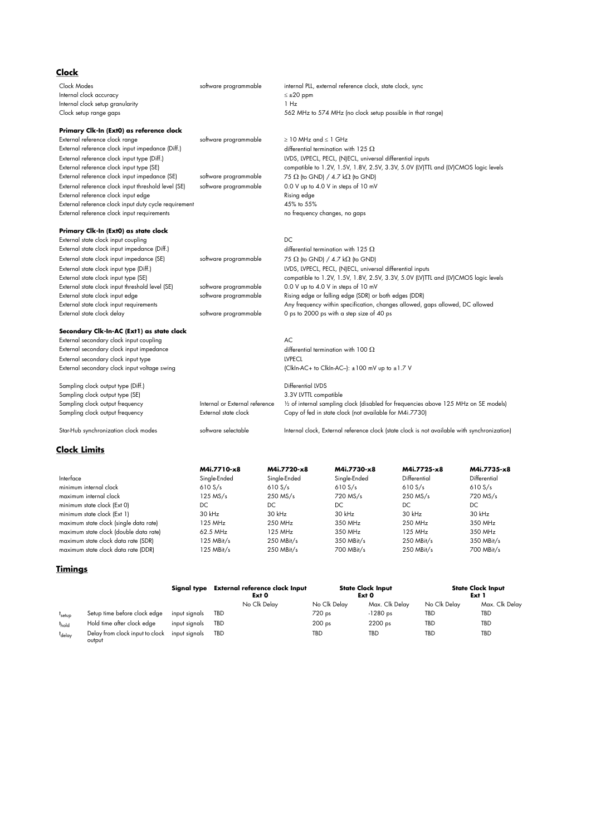| <u>Clock</u>                                          |                                |                                |                                                                                              |                                                                                      |              |              |
|-------------------------------------------------------|--------------------------------|--------------------------------|----------------------------------------------------------------------------------------------|--------------------------------------------------------------------------------------|--------------|--------------|
| Clock Modes                                           | software programmable          |                                |                                                                                              | internal PLL, external reference clock, state clock, sync                            |              |              |
| Internal clock accuracy                               |                                |                                | $\leq \pm 20$ ppm                                                                            |                                                                                      |              |              |
| Internal clock setup granularity                      |                                |                                | 1 Hz                                                                                         |                                                                                      |              |              |
| Clock setup range gaps                                |                                |                                | 562 MHz to 574 MHz (no clock setup possible in that range)                                   |                                                                                      |              |              |
| Primary Clk-In (Ext0) as reference clock              |                                |                                |                                                                                              |                                                                                      |              |              |
| External reference clock range                        | software programmable          | $\geq$ 10 MHz and $\leq$ 1 GHz |                                                                                              |                                                                                      |              |              |
| External reference clock input impedance (Diff.)      |                                |                                |                                                                                              | differential termination with 125 $\Omega$                                           |              |              |
| External reference clock input type (Diff.)           |                                |                                |                                                                                              | LVDS, LVPECL, PECL, (N)ECL, universal differential inputs                            |              |              |
| External reference clock input type (SE)              |                                |                                |                                                                                              | compatible to 1.2V, 1.5V, 1.8V, 2.5V, 3.3V, 5.0V (LV)TTL and (LV)CMOS logic levels   |              |              |
| External reference clock input impedance (SE)         | software programmable          |                                |                                                                                              | 75 $\Omega$ (to GND) / 4.7 k $\Omega$ (to GND)                                       |              |              |
| External reference clock input threshold level (SE)   | software programmable          |                                |                                                                                              | 0.0 V up to 4.0 V in steps of 10 mV                                                  |              |              |
| External reference clock input edge                   |                                |                                | Rising edge                                                                                  |                                                                                      |              |              |
| External reference clock input duty cycle requirement |                                |                                | 45% to 55%                                                                                   |                                                                                      |              |              |
| External reference clock input requirements           |                                |                                |                                                                                              | no frequency changes, no gaps                                                        |              |              |
| Primary Clk-In (Ext0) as state clock                  |                                |                                |                                                                                              |                                                                                      |              |              |
| External state clock input coupling                   |                                |                                | DC.                                                                                          |                                                                                      |              |              |
| External state clock input impedance (Diff.)          |                                |                                |                                                                                              | differential termination with 125 $\Omega$                                           |              |              |
| External state clock input impedance (SE)             | software programmable          |                                |                                                                                              | 75 $\Omega$ (to GND) / 4.7 k $\Omega$ (to GND)                                       |              |              |
| External state clock input type (Diff.)               |                                |                                |                                                                                              | LVDS, LVPECL, PECL, (N)ECL, universal differential inputs                            |              |              |
| External state clock input type (SE)                  |                                |                                |                                                                                              | compatible to 1.2V, 1.5V, 1.8V, 2.5V, 3.3V, 5.0V (LV)TTL and (LV)CMOS logic levels   |              |              |
| External state clock input threshold level (SE)       | software programmable          |                                |                                                                                              | 0.0 V up to 4.0 V in steps of 10 mV                                                  |              |              |
| External state clock input edge                       | software programmable          |                                |                                                                                              | Rising edge or falling edge (SDR) or both edges (DDR)                                |              |              |
| External state clock input requirements               |                                |                                |                                                                                              | Any frequency within specification, changes allowed, gaps allowed, DC allowed        |              |              |
| External state clock delay                            | software programmable          |                                |                                                                                              | 0 ps to 2000 ps with a step size of 40 ps                                            |              |              |
| Secondary Clk-In-AC (Ext1) as state clock             |                                |                                |                                                                                              |                                                                                      |              |              |
| External secondary clock input coupling               |                                |                                | AC                                                                                           |                                                                                      |              |              |
| External secondary clock input impedance              |                                |                                |                                                                                              | differential termination with 100 $\Omega$                                           |              |              |
| External secondary clock input type                   |                                |                                | <b>LVPECL</b>                                                                                |                                                                                      |              |              |
| External secondary clock input voltage swing          |                                |                                |                                                                                              | $ C $ kln-AC+ to Clkln-AC- $ : \pm 100$ mV up to $\pm 1.7$ V                         |              |              |
| Sampling clock output type (Diff.)                    |                                |                                | Differential LVDS                                                                            |                                                                                      |              |              |
| Sampling clock output type (SE)                       |                                |                                | 3.3V LVTTL compatible                                                                        |                                                                                      |              |              |
| Sampling clock output frequency                       | Internal or External reference |                                |                                                                                              | 1/2 of internal sampling clock (disabled for frequencies above 125 MHz on SE models) |              |              |
| Sampling clock output frequency                       | External state clock           |                                | Copy of fed in state clock (not available for M4i.7730)                                      |                                                                                      |              |              |
| Star-Hub synchronization clock modes                  | software selectable            |                                | Internal clock, External reference clock (state clock is not available with synchronization) |                                                                                      |              |              |
| <b>Clock Limits</b>                                   |                                |                                |                                                                                              |                                                                                      |              |              |
|                                                       | M4i.7710-x8                    |                                | M4i.7720-x8                                                                                  | M4i.7730-x8                                                                          | M4i.7725-x8  | M4i.7735-x8  |
| Interface                                             | Single-Ended                   |                                | Single-Ended                                                                                 | Single-Ended                                                                         | Differential | Differential |
| minimum internal clock                                | 610 S/s                        | 610 S/s                        |                                                                                              | 610 S/s                                                                              | 610 S/s      | 610S/s       |
| maximum internal clock                                | $125$ MS/s                     |                                | 250 MS/s                                                                                     | 720 MS/s                                                                             | 250 MS/s     | 720 MS/s     |

| minimum state clock (Ext 0)            | DC         | DC         | DC           | DC           | DC         |
|----------------------------------------|------------|------------|--------------|--------------|------------|
| minimum state clock (Ext 1)            | $30$ kHz   | $30$ kHz   | $30$ kHz     | $30$ kHz     | 30 kHz     |
| maximum state clock (single data rate) | 125 MHz    | 250 MHz    | 350 MHz      | 250 MHz      | 350 MHz    |
| maximum state clock (double data rate) | 62.5 MHz   | 125 MHz    | 350 MHz      | 125 MHz      | 350 MHz    |
| maximum state clock data rate (SDR)    | 125 MBit/s | 250 MBit/s | $350$ MBit/s | $250$ MBit/s | 350 MBit/s |
| maximum state clock data rate (DDR)    | 125 MBit/s | 250 MBit/s | 700 MBit/s   | 250 MBit/s   | 700 MBit/s |

# **Timings**

|                    |                                           | Signal type   | External reference clock Input<br>Ext <sub>0</sub> | <b>State Clock Input</b><br>Ext <sub>0</sub> |                | <b>State Clock Input</b><br>Ext 1 |                |
|--------------------|-------------------------------------------|---------------|----------------------------------------------------|----------------------------------------------|----------------|-----------------------------------|----------------|
|                    |                                           |               | No Clk Delay                                       | No Clk Delay                                 | Max. Clk Delay | No Clk Delay                      | Max. Clk Delay |
| t <sub>setup</sub> | Setup time before clock edge              | input signals | TBD                                                | 720 ps                                       | $-1280$ ps     | TBD                               | TBD            |
| <sup>t</sup> hold  | Hold time after clock edge                | input signals | TBD                                                | 200 <sub>ps</sub>                            | $2200$ ps      | TBD                               | TBD            |
| tdelay             | Delay from clock input to clock<br>output | input sianals | TBD                                                | TBD                                          | TBD            | TBD                               | TBD            |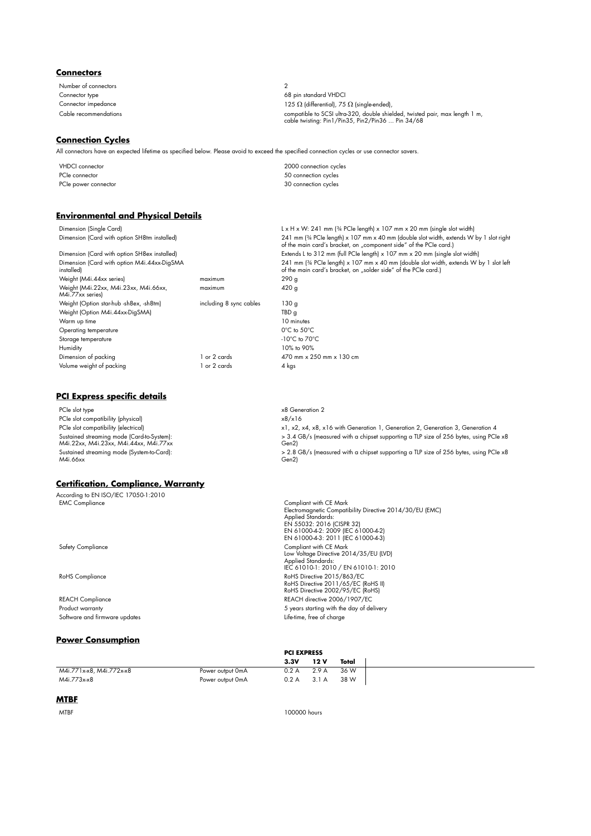## **Connectors**

Number of connectors 2

### **Connection Cycles**

All connectors have an expected lifetime as specified below. Please avoid to exceed the specified connection cycles or use connector savers.

VHDCI connector 2000 connection cycles PCIe connector 50 connection cycles PCIe power connector 30 connection cycles

### **Environmental and Physical Details**

Dimension (Single Card) Like H x W: 241 mm (¾ PCIe length) x 107 mm x 20 mm (single slot width)<br>Dimension (Card with option SH8tm installed) Like H x 141 mm (¾ PCIe length) x 107 mm x 40 mm (double slot width, extends W Dimension (Card with option SH8tm installed) 241 mm (¾ PCIe length) x 107 mm x 40 mm (double slot width, extends W by 1 slot right<br>of the main card's bracket, on "component side" of the PCIe card.) Dimension (Card with option SH8ex installed) Extends L to 312 mm (full PCIe length) x 107 mm x 20 mm (single slot width) Dimension (Card with option M4i.44xx-DigSMA installed) 241 mm (¾ PCIe length) x 107 mm x 40 mm (double slot width, extends W by 1 slot left<br>of the main card's bracket, on "solder side" of the PCIe card.) Weight (M4i.44xx series)<br>
Weight (M4i.22xx, M4i.23xx, M4i.66xx, maximum 420 g<br>
120 g Weight (M4i.22xx, M4i.23xx, M4i.66xx, M4i.77xx series) maximum Weight (Option star-hub -sh8ex, -sh8tm) including 8 sync cables 130 g Weight (Option M4i.44xx-DigSMA) TBD g Warm up time 10 minutes Operating temperature 0°C to 50°C Storage temperature -10°C to 70°C Humidity 10% to 90% Dimension of packing 1 or 2 cards 1 or 2 cards 470 mm x 250 mm x 130 cm Volume weight of packing and the control of 2 cards 4 kgs

## **PCI Express specific details**

PCIe slot type x8 Generation 2<br>PCIe slot compatibility (physical) which is a series of the series of the series of the series of the series of the series of the series of the series of the series of the series of the serie PCIe slot compatibility (physical)<br>PCIe slot compatibility (electrical) Sustained streaming mode (Card-to-System): M4i.22xx, M4i.23xx, M4i.44xx, M4i.77xx Gen2) Sustained streaming mode (System-to-Card): M4i.66xx

## **Certification, Compliance, Warranty**

**According to EN ISO/IEC 17050-1:2010**<br>EMC Compliance EMC Compliance<br>Electromagnetic Compatibility Directive 2014/30/EU (EMC) Applied Standards: EN 55032: 2016 (CISPR 32) EN 61000-4-2: 2009 (IEC 61000-4-2) EN 61000-4-3: 2011 (IEC 61000-4-3) Safety Compliance Compliant with CE Mark Low Voltage Directive 2014/35/EU (LVD) Applied Standards: IEC 61010-1: 2010 / EN 61010-1: 2010 RoHS Directive 2015/863/EC<br>RoHS Directive 2011/65/EC (RoHS II)<br>RoHS Directive 2002/95/EC (RoHS) REACH Compliance REACH directive 2006/1907/EC Product warranty<br>
Product warranty<br>
Software and firmware updates<br>
Software and firmware updates Software and firmware updates

### **Power Consumption**

|                          |                  |       | <b>PCI EXPRESS</b> |       |  |
|--------------------------|------------------|-------|--------------------|-------|--|
|                          |                  | 3.3V  | 12 V               | Total |  |
| M4i.771x-x8, M4i.772x-x8 | Power output OmA | 0.2 A | 2.9A               | 36 W  |  |
| M4i.773x-x8              | Power output OmA | 0.2A  | 3.1A               | 38 W  |  |

**PCI EXPRESS**

## **MTBF**

MTBF 100000 hours

Connector type 68 pin standard VHDCI Connector impedance 125  $\Omega$  (differential), 75  $\Omega$  (single-ended), Cable recommendations compatible to SCSI ultra-320, double shielded, twisted pair, max length 1 m, cable twisting: Pin1/Pin35, Pin2/Pin36 ... Pin 34/68

> x1, x2, x4, x8, x16 with Generation 1, Generation 2, Generation 3, Generation 4 > 3.4 GB/s (measured with a chipset supporting a TLP size of 256 bytes, using PCIe x8 > 2.8 GB/s (measured with a chipset supporting a TLP size of 256 bytes, using PCIe x8 Gen2)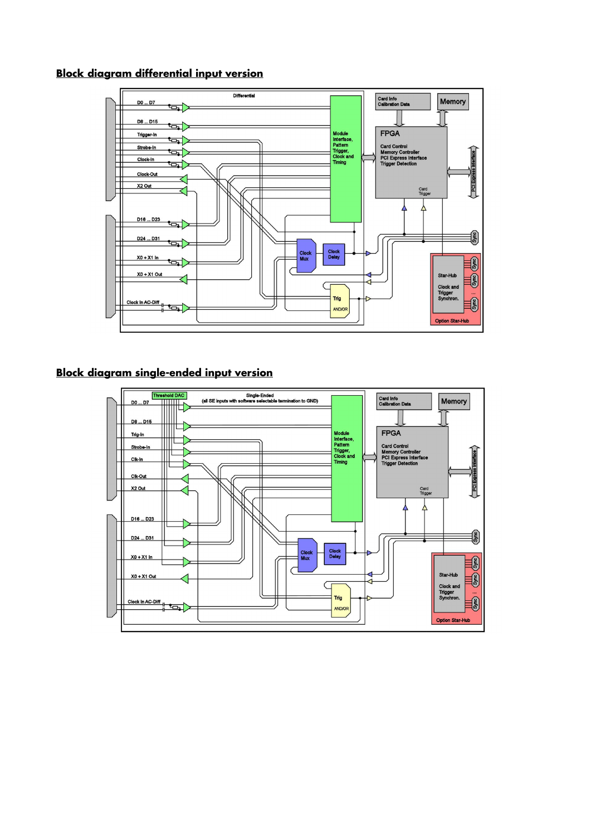# **Block diagram differential input version**



# **Block diagram single-ended input version**